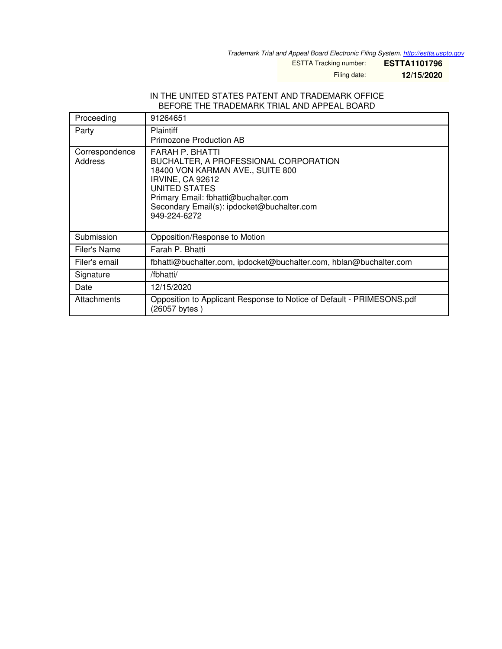*Trademark Trial and Appeal Board Electronic Filing System. <http://estta.uspto.gov>*

ESTTA Tracking number: **ESTTA1101796**

Filing date: **12/15/2020**

#### IN THE UNITED STATES PATENT AND TRADEMARK OFFICE BEFORE THE TRADEMARK TRIAL AND APPEAL BOARD

| Proceeding                | 91264651                                                                                                                                                                                                                                       |
|---------------------------|------------------------------------------------------------------------------------------------------------------------------------------------------------------------------------------------------------------------------------------------|
| Party                     | <b>Plaintiff</b><br>Primozone Production AB                                                                                                                                                                                                    |
| Correspondence<br>Address | FARAH P. BHATTI<br>BUCHALTER, A PROFESSIONAL CORPORATION<br>18400 VON KARMAN AVE., SUITE 800<br><b>IRVINE, CA 92612</b><br>UNITED STATES<br>Primary Email: fbhatti@buchalter.com<br>Secondary Email(s): ipdocket@buchalter.com<br>949-224-6272 |
| Submission                | Opposition/Response to Motion                                                                                                                                                                                                                  |
| Filer's Name              | Farah P. Bhatti                                                                                                                                                                                                                                |
| Filer's email             | fbhatti@buchalter.com, ipdocket@buchalter.com, hblan@buchalter.com                                                                                                                                                                             |
| Signature                 | /fbhatti/                                                                                                                                                                                                                                      |
| Date                      | 12/15/2020                                                                                                                                                                                                                                     |
| Attachments               | Opposition to Applicant Response to Notice of Default - PRIMESONS.pdf<br>(26057 bytes)                                                                                                                                                         |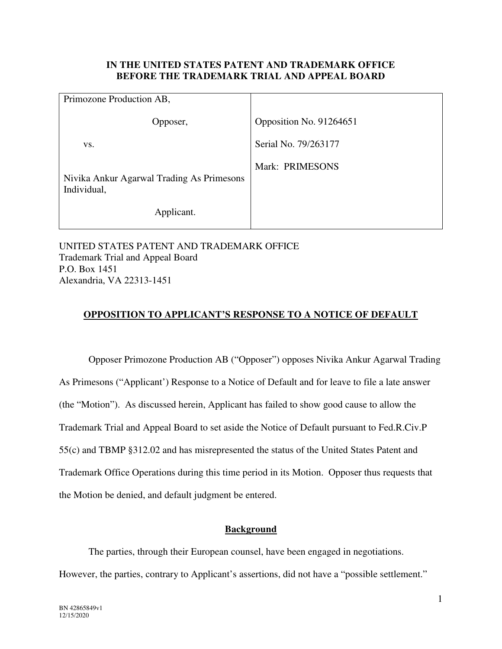### **IN THE UNITED STATES PATENT AND TRADEMARK OFFICE BEFORE THE TRADEMARK TRIAL AND APPEAL BOARD**

| Primozone Production AB,                                 |                         |
|----------------------------------------------------------|-------------------------|
| Opposer,                                                 | Opposition No. 91264651 |
| VS.                                                      | Serial No. 79/263177    |
| Nivika Ankur Agarwal Trading As Primesons<br>Individual, | Mark: PRIMESONS         |
| Applicant.                                               |                         |

UNITED STATES PATENT AND TRADEMARK OFFICE Trademark Trial and Appeal Board P.O. Box 1451 Alexandria, VA 22313-1451

### **OPPOSITION TO APPLICANT'S RESPONSE TO A NOTICE OF DEFAULT**

 Opposer Primozone Production AB ("Opposer") opposes Nivika Ankur Agarwal Trading As Primesons ("Applicant') Response to a Notice of Default and for leave to file a late answer (the "Motion"). As discussed herein, Applicant has failed to show good cause to allow the Trademark Trial and Appeal Board to set aside the Notice of Default pursuant to Fed.R.Civ.P 55(c) and TBMP §312.02 and has misrepresented the status of the United States Patent and Trademark Office Operations during this time period in its Motion. Opposer thus requests that the Motion be denied, and default judgment be entered.

## **Background**

 The parties, through their European counsel, have been engaged in negotiations. However, the parties, contrary to Applicant's assertions, did not have a "possible settlement."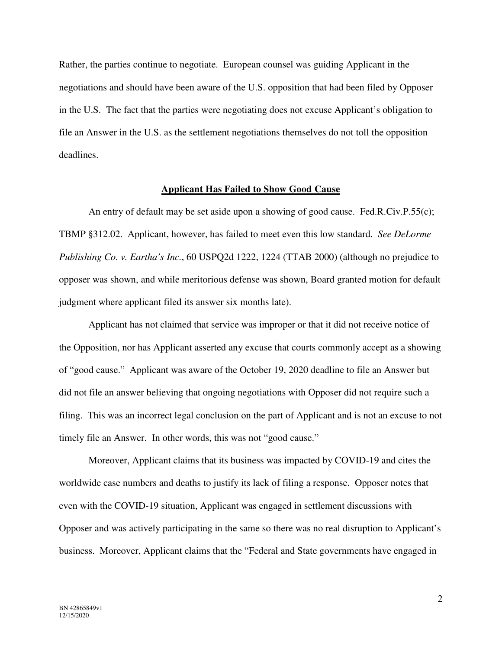Rather, the parties continue to negotiate. European counsel was guiding Applicant in the negotiations and should have been aware of the U.S. opposition that had been filed by Opposer in the U.S. The fact that the parties were negotiating does not excuse Applicant's obligation to file an Answer in the U.S. as the settlement negotiations themselves do not toll the opposition deadlines.

#### **Applicant Has Failed to Show Good Cause**

 An entry of default may be set aside upon a showing of good cause. Fed.R.Civ.P.55(c); TBMP §312.02. Applicant, however, has failed to meet even this low standard. *See DeLorme Publishing Co. v. Eartha's Inc.*, 60 USPQ2d 1222, 1224 (TTAB 2000) (although no prejudice to opposer was shown, and while meritorious defense was shown, Board granted motion for default judgment where applicant filed its answer six months late).

Applicant has not claimed that service was improper or that it did not receive notice of the Opposition, nor has Applicant asserted any excuse that courts commonly accept as a showing of "good cause." Applicant was aware of the October 19, 2020 deadline to file an Answer but did not file an answer believing that ongoing negotiations with Opposer did not require such a filing. This was an incorrect legal conclusion on the part of Applicant and is not an excuse to not timely file an Answer. In other words, this was not "good cause."

Moreover, Applicant claims that its business was impacted by COVID-19 and cites the worldwide case numbers and deaths to justify its lack of filing a response. Opposer notes that even with the COVID-19 situation, Applicant was engaged in settlement discussions with Opposer and was actively participating in the same so there was no real disruption to Applicant's business. Moreover, Applicant claims that the "Federal and State governments have engaged in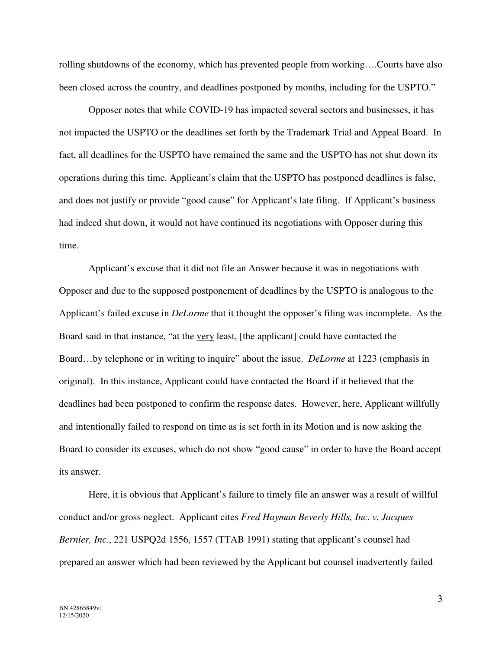rolling shutdowns of the economy, which has prevented people from working….Courts have also been closed across the country, and deadlines postponed by months, including for the USPTO."

 Opposer notes that while COVID-19 has impacted several sectors and businesses, it has not impacted the USPTO or the deadlines set forth by the Trademark Trial and Appeal Board. In fact, all deadlines for the USPTO have remained the same and the USPTO has not shut down its operations during this time. Applicant's claim that the USPTO has postponed deadlines is false, and does not justify or provide "good cause" for Applicant's late filing. If Applicant's business had indeed shut down, it would not have continued its negotiations with Opposer during this time.

Applicant's excuse that it did not file an Answer because it was in negotiations with Opposer and due to the supposed postponement of deadlines by the USPTO is analogous to the Applicant's failed excuse in *DeLorme* that it thought the opposer's filing was incomplete. As the Board said in that instance, "at the very least, [the applicant] could have contacted the Board…by telephone or in writing to inquire" about the issue. *DeLorme* at 1223 (emphasis in original). In this instance, Applicant could have contacted the Board if it believed that the deadlines had been postponed to confirm the response dates. However, here, Applicant willfully and intentionally failed to respond on time as is set forth in its Motion and is now asking the Board to consider its excuses, which do not show "good cause" in order to have the Board accept its answer.

Here, it is obvious that Applicant's failure to timely file an answer was a result of willful conduct and/or gross neglect. Applicant cites *Fred Hayman Beverly Hills, Inc. v. Jacques Bernier, Inc.*, 221 USPQ2d 1556, 1557 (TTAB 1991) stating that applicant's counsel had prepared an answer which had been reviewed by the Applicant but counsel inadvertently failed

3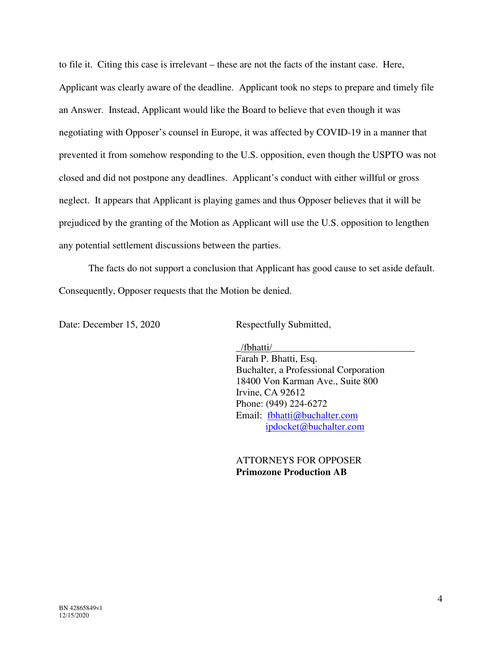to file it. Citing this case is irrelevant – these are not the facts of the instant case. Here, Applicant was clearly aware of the deadline. Applicant took no steps to prepare and timely file an Answer. Instead, Applicant would like the Board to believe that even though it was negotiating with Opposer's counsel in Europe, it was affected by COVID-19 in a manner that prevented it from somehow responding to the U.S. opposition, even though the USPTO was not closed and did not postpone any deadlines. Applicant's conduct with either willful or gross neglect. It appears that Applicant is playing games and thus Opposer believes that it will be prejudiced by the granting of the Motion as Applicant will use the U.S. opposition to lengthen any potential settlement discussions between the parties.

The facts do not support a conclusion that Applicant has good cause to set aside default. Consequently, Opposer requests that the Motion be denied.

Date: December 15, 2020 Respectfully Submitted,

 $/$ fbhatti $/$  Farah P. Bhatti, Esq. Buchalter, a Professional Corporation 18400 Von Karman Ave., Suite 800 Irvine, CA 92612 Phone: (949) 224-6272 Email: [fbhatti@buchalter.com](mailto:fbhatti@buchalter.com) [ipdocket@buchalter.com](mailto:ipdocket@buchalter.com) 

> ATTORNEYS FOR OPPOSER **Primozone Production AB**